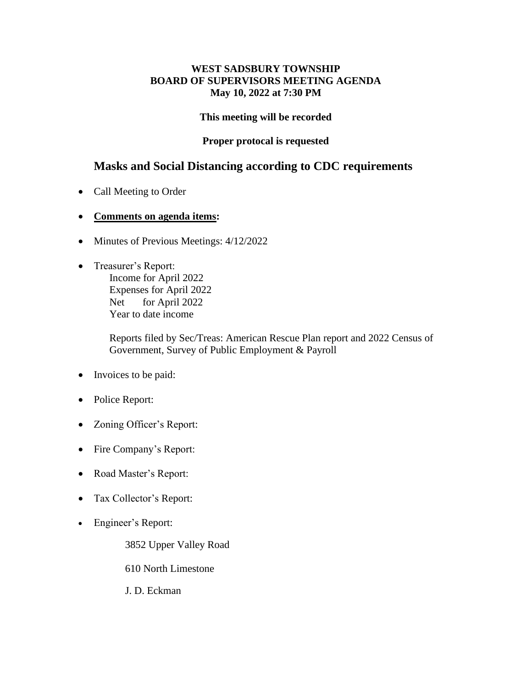## **WEST SADSBURY TOWNSHIP BOARD OF SUPERVISORS MEETING AGENDA May 10, 2022 at 7:30 PM**

## **This meeting will be recorded**

## **Proper protocal is requested**

# **Masks and Social Distancing according to CDC requirements**

- Call Meeting to Order
- **Comments on agenda items:**
- Minutes of Previous Meetings:  $4/12/2022$
- Treasurer's Report: Income for April 2022 Expenses for April 2022 Net for April 2022 Year to date income

Reports filed by Sec/Treas: American Rescue Plan report and 2022 Census of Government, Survey of Public Employment & Payroll

- Invoices to be paid:
- Police Report:
- Zoning Officer's Report:
- Fire Company's Report:
- Road Master's Report:
- Tax Collector's Report:
- Engineer's Report:

3852 Upper Valley Road

610 North Limestone

J. D. Eckman